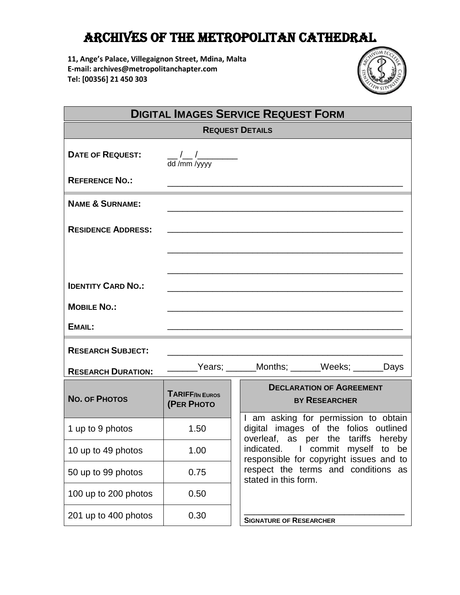## Archives of the Metropolitan Cathedral

**11, Ange's Palace, Villegaignon Street, Mdina, Malta E-mail: archives@metropolitanchapter.com Tel: [00356] 21 450 303**



| <b>DIGITAL IMAGES SERVICE REQUEST FORM</b> |                                      |                                                                                                                                                                                                                                                                    |  |  |  |
|--------------------------------------------|--------------------------------------|--------------------------------------------------------------------------------------------------------------------------------------------------------------------------------------------------------------------------------------------------------------------|--|--|--|
| <b>REQUEST DETAILS</b>                     |                                      |                                                                                                                                                                                                                                                                    |  |  |  |
| <b>DATE OF REQUEST:</b>                    | dd /mm /yyyy                         |                                                                                                                                                                                                                                                                    |  |  |  |
| <b>REFERENCE NO.:</b>                      |                                      |                                                                                                                                                                                                                                                                    |  |  |  |
| <b>NAME &amp; SURNAME:</b>                 |                                      |                                                                                                                                                                                                                                                                    |  |  |  |
| <b>RESIDENCE ADDRESS:</b>                  |                                      |                                                                                                                                                                                                                                                                    |  |  |  |
|                                            |                                      |                                                                                                                                                                                                                                                                    |  |  |  |
| <b>IDENTITY CARD NO.:</b>                  |                                      |                                                                                                                                                                                                                                                                    |  |  |  |
| <b>MOBILE NO.:</b>                         |                                      |                                                                                                                                                                                                                                                                    |  |  |  |
| EMAIL:                                     |                                      |                                                                                                                                                                                                                                                                    |  |  |  |
| <b>RESEARCH SUBJECT:</b>                   |                                      |                                                                                                                                                                                                                                                                    |  |  |  |
| <b>RESEARCH DURATION:</b>                  |                                      |                                                                                                                                                                                                                                                                    |  |  |  |
| <b>NO. OF PHOTOS</b>                       | <b>TARIFF/IN EUROS</b><br>(PER PHOTO | <b>DECLARATION OF AGREEMENT</b><br><b>BY RESEARCHER</b>                                                                                                                                                                                                            |  |  |  |
| 1 up to 9 photos                           | 1.50                                 | I am asking for permission to obtain<br>digital images of the folios outlined<br>overleaf, as per the tariffs hereby<br>indicated. I commit myself to be<br>responsible for copyright issues and to<br>respect the terms and conditions as<br>stated in this form. |  |  |  |
| 10 up to 49 photos                         | 1.00                                 |                                                                                                                                                                                                                                                                    |  |  |  |
| 50 up to 99 photos                         | 0.75                                 |                                                                                                                                                                                                                                                                    |  |  |  |
| 100 up to 200 photos                       | 0.50                                 |                                                                                                                                                                                                                                                                    |  |  |  |
| 201 up to 400 photos                       | 0.30                                 | <b>SIGNATURE OF RESEARCHER</b>                                                                                                                                                                                                                                     |  |  |  |